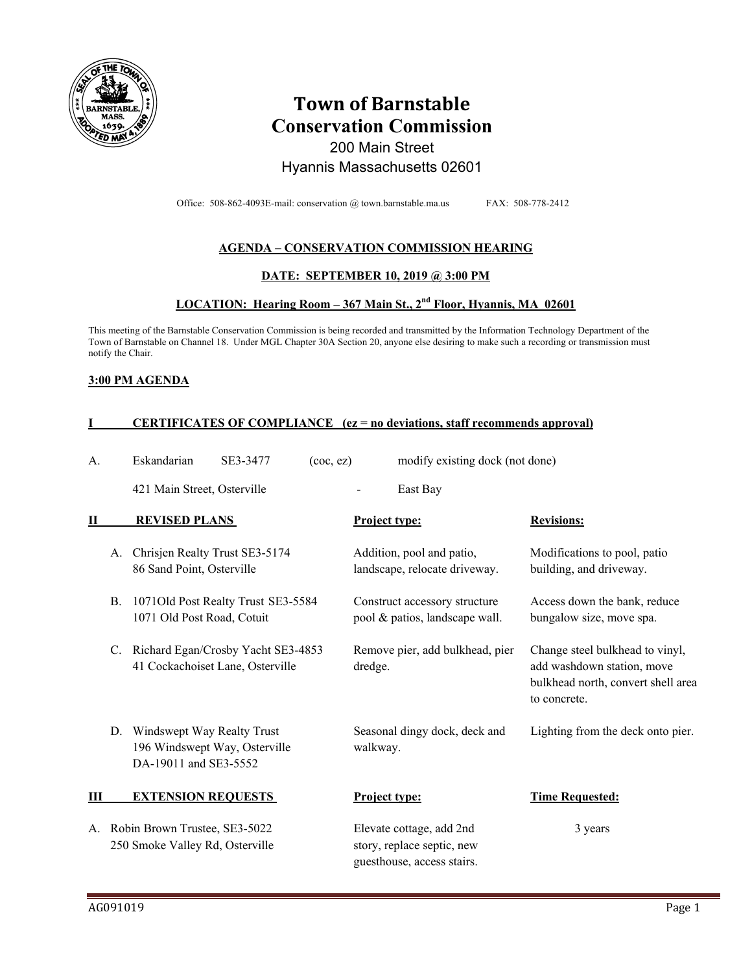

# **Town of Barnstable Conservation Commission**  200 Main Street

## Hyannis Massachusetts 02601

Office: 508-862-4093E-mail: conservation @ town.barnstable.ma.us FAX: 508-778-2412

### **AGENDA – CONSERVATION COMMISSION HEARING**

#### **DATE: SEPTEMBER 10, 2019 @ 3:00 PM**

## **LOCATION: Hearing Room – 367 Main St., 2nd Floor, Hyannis, MA 02601**

This meeting of the Barnstable Conservation Commission is being recorded and transmitted by the Information Technology Department of the Town of Barnstable on Channel 18. Under MGL Chapter 30A Section 20, anyone else desiring to make such a recording or transmission must notify the Chair.

#### **3:00 PM AGENDA**

### **I CERTIFICATES OF COMPLIANCE (ez = no deviations, staff recommends approval)**

| A.           |           | Eskandarian                                                                          | SE3-3477                           | $($ coc $,$ ez $)$ |                      | modify existing dock (not done)                                                      |                                                                                                                     |  |
|--------------|-----------|--------------------------------------------------------------------------------------|------------------------------------|--------------------|----------------------|--------------------------------------------------------------------------------------|---------------------------------------------------------------------------------------------------------------------|--|
|              |           | 421 Main Street, Osterville                                                          |                                    |                    |                      | East Bay                                                                             |                                                                                                                     |  |
| $\mathbf{I}$ |           | <b>REVISED PLANS</b>                                                                 |                                    |                    | Project type:        |                                                                                      | <b>Revisions:</b>                                                                                                   |  |
|              | А.        | Chrisjen Realty Trust SE3-5174<br>86 Sand Point, Osterville                          |                                    |                    |                      | Addition, pool and patio,<br>landscape, relocate driveway.                           | Modifications to pool, patio<br>building, and driveway.                                                             |  |
|              | <b>B.</b> | 1071 Old Post Road, Cotuit                                                           | 1071Old Post Realty Trust SE3-5584 |                    |                      | Construct accessory structure<br>pool & patios, landscape wall.                      | Access down the bank, reduce<br>bungalow size, move spa.                                                            |  |
|              | C.        | 41 Cockachoiset Lane, Osterville                                                     | Richard Egan/Crosby Yacht SE3-4853 |                    | dredge.              | Remove pier, add bulkhead, pier                                                      | Change steel bulkhead to vinyl,<br>add washdown station, move<br>bulkhead north, convert shell area<br>to concrete. |  |
|              | D.        | Windswept Way Realty Trust<br>196 Windswept Way, Osterville<br>DA-19011 and SE3-5552 |                                    |                    | walkway.             | Seasonal dingy dock, deck and                                                        | Lighting from the deck onto pier.                                                                                   |  |
| Ш            |           | <b>EXTENSION REQUESTS</b>                                                            |                                    |                    | <b>Project type:</b> |                                                                                      | <b>Time Requested:</b>                                                                                              |  |
| A.           |           | Robin Brown Trustee, SE3-5022<br>250 Smoke Valley Rd, Osterville                     |                                    |                    |                      | Elevate cottage, add 2nd<br>story, replace septic, new<br>guesthouse, access stairs. | 3 years                                                                                                             |  |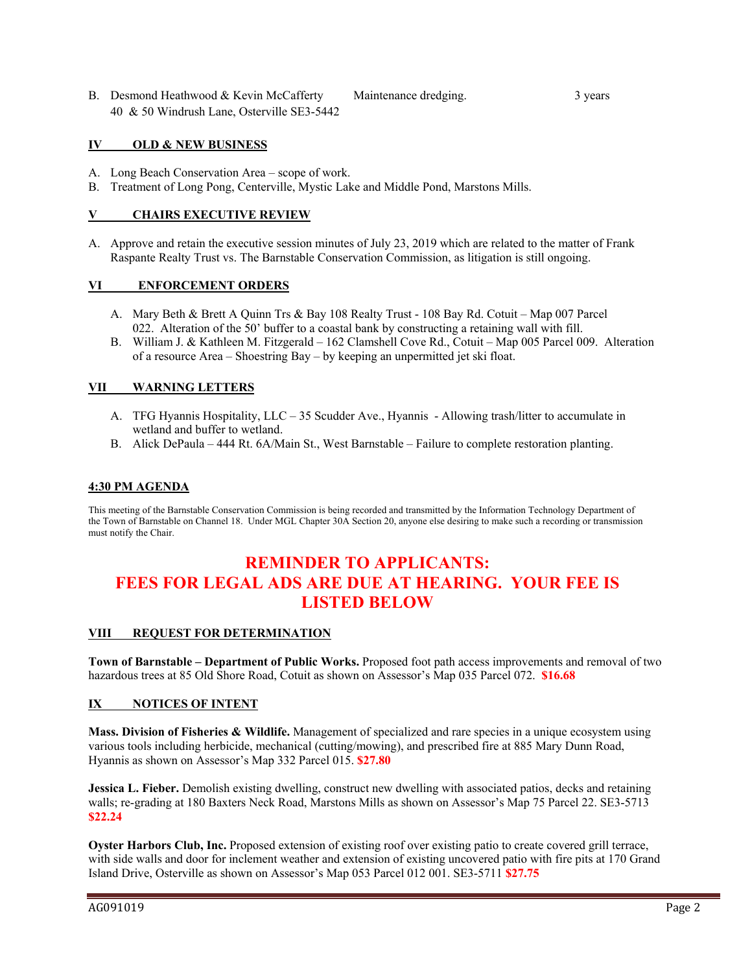B. Desmond Heathwood & Kevin McCafferty Maintenance dredging. 3 years 40 & 50 Windrush Lane, Osterville SE3-5442

#### **IV OLD & NEW BUSINESS**

- A. Long Beach Conservation Area scope of work.
- B. Treatment of Long Pong, Centerville, Mystic Lake and Middle Pond, Marstons Mills.

#### **V CHAIRS EXECUTIVE REVIEW**

A. Approve and retain the executive session minutes of July 23, 2019 which are related to the matter of Frank Raspante Realty Trust vs. The Barnstable Conservation Commission, as litigation is still ongoing.

#### **VI ENFORCEMENT ORDERS**

- A. Mary Beth & Brett A Quinn Trs & Bay 108 Realty Trust 108 Bay Rd. Cotuit Map 007 Parcel 022. Alteration of the 50' buffer to a coastal bank by constructing a retaining wall with fill.
- B. William J. & Kathleen M. Fitzgerald 162 Clamshell Cove Rd., Cotuit Map 005 Parcel 009. Alteration of a resource Area – Shoestring Bay – by keeping an unpermitted jet ski float.

#### **VII WARNING LETTERS**

- A. TFG Hyannis Hospitality, LLC 35 Scudder Ave., Hyannis Allowing trash/litter to accumulate in wetland and buffer to wetland.
- B. Alick DePaula 444 Rt. 6A/Main St., West Barnstable Failure to complete restoration planting.

#### **4:30 PM AGENDA**

This meeting of the Barnstable Conservation Commission is being recorded and transmitted by the Information Technology Department of the Town of Barnstable on Channel 18. Under MGL Chapter 30A Section 20, anyone else desiring to make such a recording or transmission must notify the Chair.

## **REMINDER TO APPLICANTS: FEES FOR LEGAL ADS ARE DUE AT HEARING. YOUR FEE IS LISTED BELOW**

#### **VIII REQUEST FOR DETERMINATION**

**Town of Barnstable – Department of Public Works.** Proposed foot path access improvements and removal of two hazardous trees at 85 Old Shore Road, Cotuit as shown on Assessor's Map 035 Parcel 072. **\$16.68** 

#### **IX NOTICES OF INTENT**

**Mass. Division of Fisheries & Wildlife.** Management of specialized and rare species in a unique ecosystem using various tools including herbicide, mechanical (cutting/mowing), and prescribed fire at 885 Mary Dunn Road, Hyannis as shown on Assessor's Map 332 Parcel 015. **\$27.80**

**Jessica L. Fieber.** Demolish existing dwelling, construct new dwelling with associated patios, decks and retaining walls; re-grading at 180 Baxters Neck Road, Marstons Mills as shown on Assessor's Map 75 Parcel 22. SE3-5713 **\$22.24** 

**Oyster Harbors Club, Inc.** Proposed extension of existing roof over existing patio to create covered grill terrace, with side walls and door for inclement weather and extension of existing uncovered patio with fire pits at 170 Grand Island Drive, Osterville as shown on Assessor's Map 053 Parcel 012 001. SE3-5711 **\$27.75**